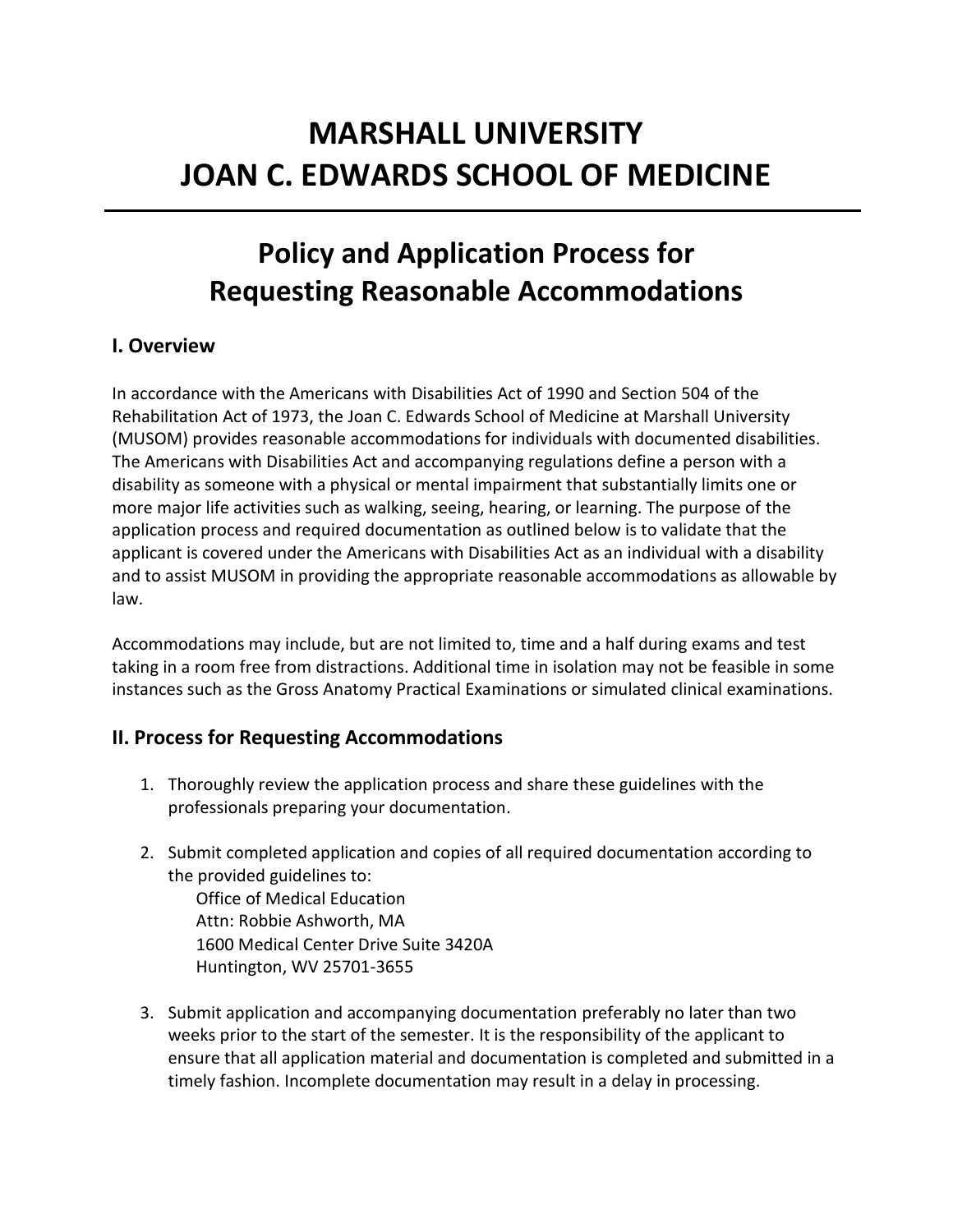# **MARSHALL UNIVERSITY JOAN C. EDWARDS SCHOOL OF MEDICINE**

# **Policy and Application Process for Requesting Reasonable Accommodations**

#### **I. Overview**

In accordance with the Americans with Disabilities Act of 1990 and Section 504 of the Rehabilitation Act of 1973, the Joan C. Edwards School of Medicine at Marshall University (MUSOM) provides reasonable accommodations for individuals with documented disabilities. The Americans with Disabilities Act and accompanying regulations define a person with a disability as someone with a physical or mental impairment that substantially limits one or more major life activities such as walking, seeing, hearing, or learning. The purpose of the application process and required documentation as outlined below is to validate that the applicant is covered under the Americans with Disabilities Act as an individual with a disability and to assist MUSOM in providing the appropriate reasonable accommodations as allowable by law.

Accommodations may include, but are not limited to, time and a half during exams and test taking in a room free from distractions. Additional time in isolation may not be feasible in some instances such as the Gross Anatomy Practical Examinations or simulated clinical examinations.

#### **II. Process for Requesting Accommodations**

- 1. Thoroughly review the application process and share these guidelines with the professionals preparing your documentation.
- 2. Submit completed application and copies of all required documentation according to the provided guidelines to:

Office of Medical Education Attn: Robbie Ashworth, MA 1600 Medical Center Drive Suite 3420A Huntington, WV 25701-3655

3. Submit application and accompanying documentation preferably no later than two weeks prior to the start of the semester. It is the responsibility of the applicant to ensure that all application material and documentation is completed and submitted in a timely fashion. Incomplete documentation may result in a delay in processing.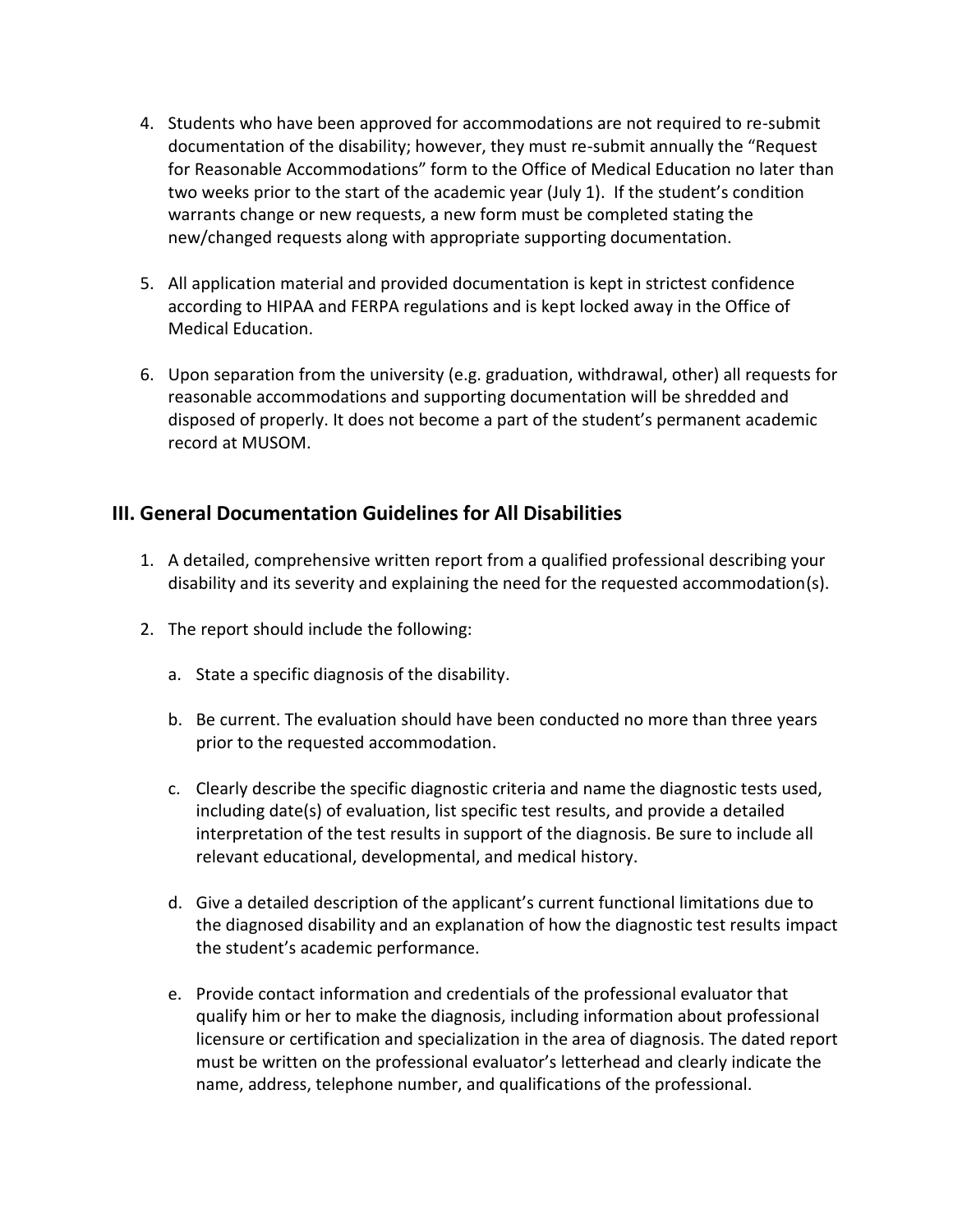- 4. Students who have been approved for accommodations are not required to re-submit documentation of the disability; however, they must re-submit annually the "Request for Reasonable Accommodations" form to the Office of Medical Education no later than two weeks prior to the start of the academic year (July 1). If the student's condition warrants change or new requests, a new form must be completed stating the new/changed requests along with appropriate supporting documentation.
- 5. All application material and provided documentation is kept in strictest confidence according to HIPAA and FERPA regulations and is kept locked away in the Office of Medical Education.
- 6. Upon separation from the university (e.g. graduation, withdrawal, other) all requests for reasonable accommodations and supporting documentation will be shredded and disposed of properly. It does not become a part of the student's permanent academic record at MUSOM.

#### **III. General Documentation Guidelines for All Disabilities**

- 1. A detailed, comprehensive written report from a qualified professional describing your disability and its severity and explaining the need for the requested accommodation(s).
- 2. The report should include the following:
	- a. State a specific diagnosis of the disability.
	- b. Be current. The evaluation should have been conducted no more than three years prior to the requested accommodation.
	- c. Clearly describe the specific diagnostic criteria and name the diagnostic tests used, including date(s) of evaluation, list specific test results, and provide a detailed interpretation of the test results in support of the diagnosis. Be sure to include all relevant educational, developmental, and medical history.
	- d. Give a detailed description of the applicant's current functional limitations due to the diagnosed disability and an explanation of how the diagnostic test results impact the student's academic performance.
	- e. Provide contact information and credentials of the professional evaluator that qualify him or her to make the diagnosis, including information about professional licensure or certification and specialization in the area of diagnosis. The dated report must be written on the professional evaluator's letterhead and clearly indicate the name, address, telephone number, and qualifications of the professional.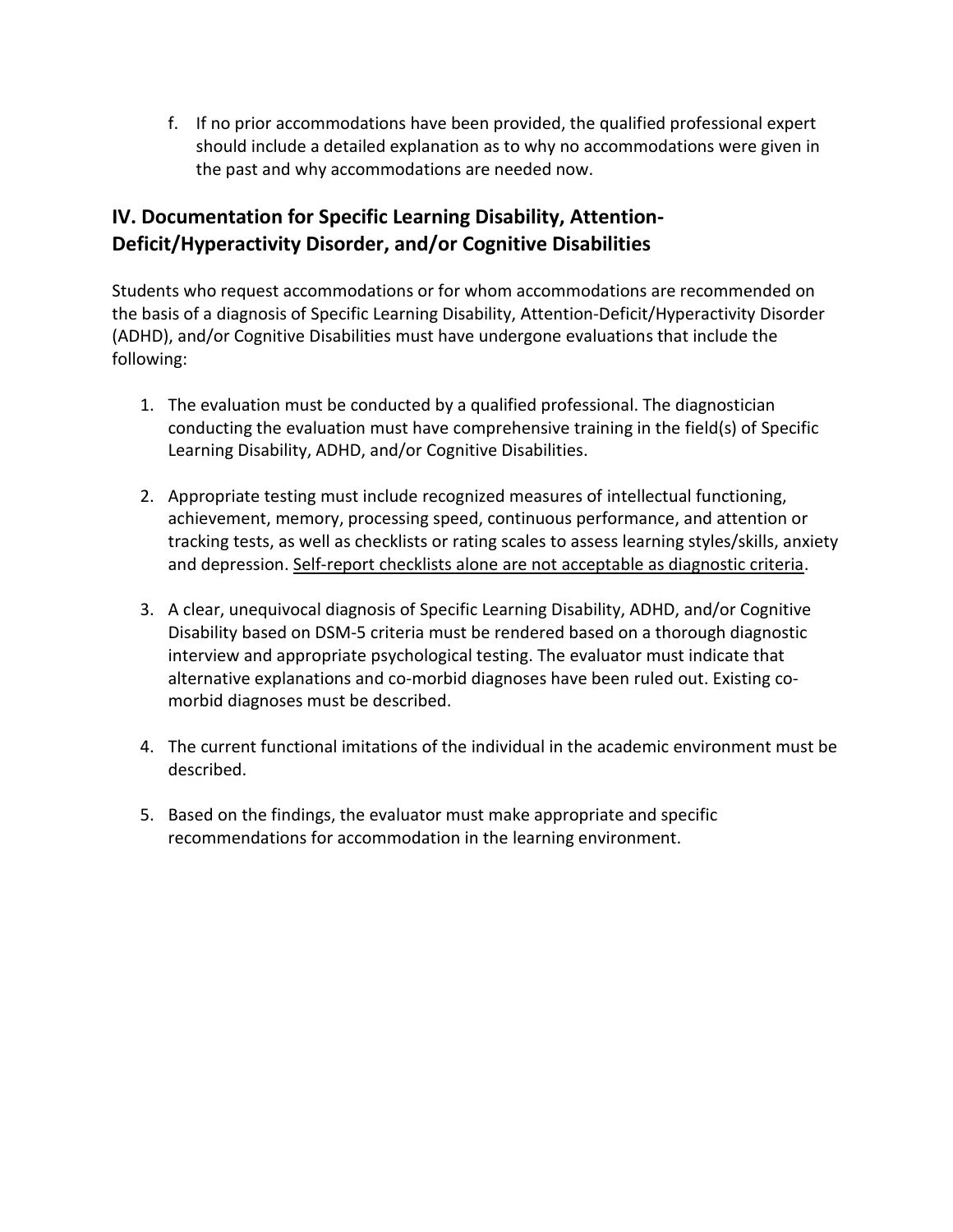f. If no prior accommodations have been provided, the qualified professional expert should include a detailed explanation as to why no accommodations were given in the past and why accommodations are needed now.

### **IV. Documentation for Specific Learning Disability, Attention-Deficit/Hyperactivity Disorder, and/or Cognitive Disabilities**

Students who request accommodations or for whom accommodations are recommended on the basis of a diagnosis of Specific Learning Disability, Attention-Deficit/Hyperactivity Disorder (ADHD), and/or Cognitive Disabilities must have undergone evaluations that include the following:

- 1. The evaluation must be conducted by a qualified professional. The diagnostician conducting the evaluation must have comprehensive training in the field(s) of Specific Learning Disability, ADHD, and/or Cognitive Disabilities.
- 2. Appropriate testing must include recognized measures of intellectual functioning, achievement, memory, processing speed, continuous performance, and attention or tracking tests, as well as checklists or rating scales to assess learning styles/skills, anxiety and depression. Self-report checklists alone are not acceptable as diagnostic criteria.
- 3. A clear, unequivocal diagnosis of Specific Learning Disability, ADHD, and/or Cognitive Disability based on DSM-5 criteria must be rendered based on a thorough diagnostic interview and appropriate psychological testing. The evaluator must indicate that alternative explanations and co-morbid diagnoses have been ruled out. Existing comorbid diagnoses must be described.
- 4. The current functional imitations of the individual in the academic environment must be described.
- 5. Based on the findings, the evaluator must make appropriate and specific recommendations for accommodation in the learning environment.